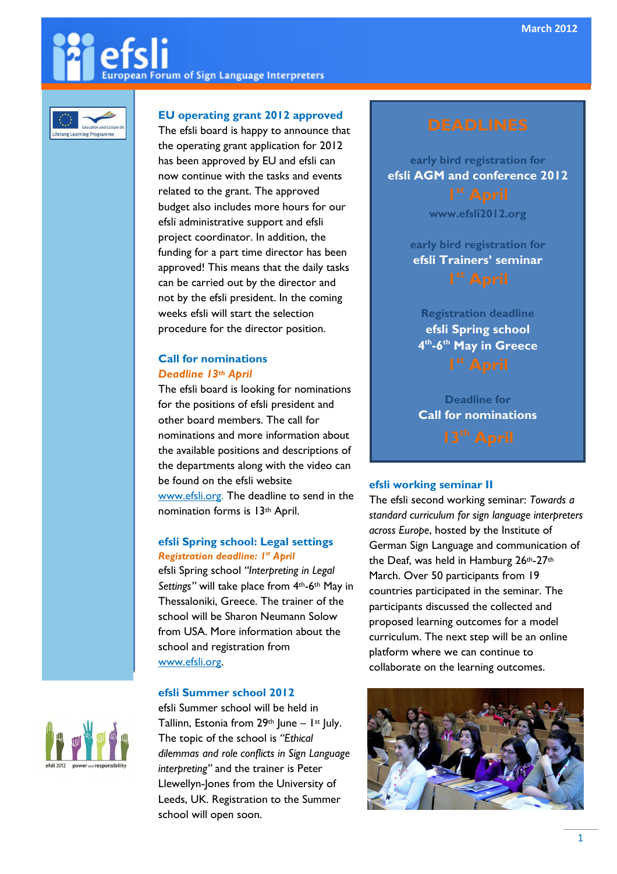# an Forum of Sign Language Interpreters



# EU operating grant 2012 approved

The efsli board is happy to announce that the operating grant application for 2012 has been approved by EU and efsli can now continue with the tasks and events related to the grant. The approved budget also includes more hours for our efsli administrative support and efsli project coordinator. In addition, the funding for a part time director has been approved! This means that the daily tasks can be carried out by the director and not by the efsli president. In the coming weeks efsli will start the selection procedure for the director position.

# Call for nominations Deadline 13th April

The efsli board is looking for nominations for the positions of efsli president and other board members. The call for nominations and more information about the available positions and descriptions of the departments along with the video can be found on the efsli website www.efsli.org. The deadline to send in the nomination forms is 13th April.

# efsli Spring school: Legal settings Registration deadline: I<sup>st</sup> April

efsli Spring school "Interpreting in Legal Settings" will take place from 4<sup>th</sup>-6<sup>th</sup> May in Thessaloniki, Greece. The trainer of the school will be Sharon Neumann Solow from USA. More information about the school and registration from www.efsli.org.

# efsli Summer school 2012

efsli Summer school will be held in Tallinn, Estonia from  $29<sup>th</sup>$  June – 1<sup>st</sup> July. The topic of the school is "Ethical dilemmas and role conflicts in Sign Language interpreting" and the trainer is Peter Llewellyn-Jones from the University of Leeds, UK. Registration to the Summer school will open soon.

early bird registration for efsli AGM and conference 2012

www.efsli2012.org

early bird registration for efsli Trainers' seminar

Registration deadline efsli Spring school 4<sup>th</sup>-6<sup>th</sup> May in Greece

Deadline for Call for nominations

# efsli working seminar II

The efsli second working seminar: Towards a standard curriculum for sign language interpreters across Europe, hosted by the Institute of German Sign Language and communication of the Deaf, was held in Hamburg 26th-27th March. Over 50 participants from 19 countries participated in the seminar. The participants discussed the collected and proposed learning outcomes for a model curriculum. The next step will be an online platform where we can continue to collaborate on the learning outcomes.